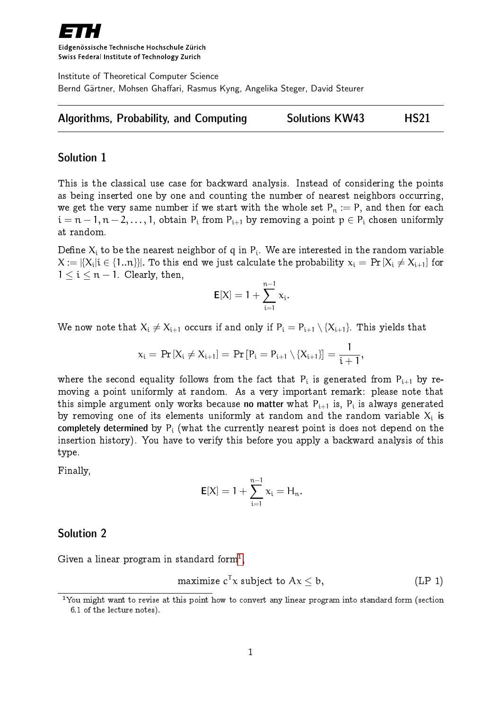

Eidgenössische Technische Hochschule Zürich Swiss Federal Institute of Technology Zurich

Institute of Theoretical Computer Science Bernd Gärtner, Mohsen Ghaffari, Rasmus Kyng, Angelika Steger, David Steurer

|  | Algorithms, Probability, and Computing |  | <b>Solutions KW43</b> | <b>HS21</b> |
|--|----------------------------------------|--|-----------------------|-------------|
|--|----------------------------------------|--|-----------------------|-------------|

## Solution 1

This is the classical use case for backward analysis. Instead of considering the points as being inserted one by one and counting the number of nearest neighbors occurring, we get the very same number if we start with the whole set  $P_n := P$ , and then for each  $i = n-1, n-2, \ldots, 1$ , obtain  $P_i$  from  $P_{i+1}$  by removing a point  $p \in P_i$  chosen uniformly at random.

Define  $\mathsf{X}_\mathfrak{i}$  to be the nearest neighbor of  $\mathfrak{q}$  in  $\mathsf{P}_\mathfrak{i}.$  We are interested in the random variable  $\mathsf{X}:=|\{\mathsf{X}_{\mathsf{i}}|\mathsf{i}\in\{1..\mathsf{n}\}\}|.$  To this end we just calculate the probability  $\mathsf{x}_{\mathsf{i}}=\Pr\left[\mathsf{X}_{\mathsf{i}}\neq\mathsf{X}_{\mathsf{i}+1}\right]$  for  $1 \leq i \leq n - 1$ . Clearly, then,

$$
\mathsf{E}[X] = 1 + \sum_{i=1}^{n-1} x_i.
$$

We now note that  $X_i \neq X_{i+1}$  occurs if and only if  $P_i = P_{i+1} \setminus \{X_{i+1}\}\$ . This yields that

$$
x_{i} = \Pr[X_{i} \neq X_{i+1}] = \Pr[P_{i} = P_{i+1} \setminus \{X_{i+1}\}] = \frac{1}{i+1},
$$

where the second equality follows from the fact that  $\mathsf{P}_\text{i}$  is generated from  $\mathsf{P}_\text{i+1}$  by removing a point uniformly at random. As a very important remark: please note that this simple argument only works because **no matter** what  $\mathsf{P_{i+1}}$  is,  $\mathsf{P_{i}}$  is always generated by removing one of its elements uniformly at random and the random variable  $\mathsf{X}_\mathfrak{i}$  is completely determined by  $P_i$  (what the currently nearest point is does not depend on the insertion history). You have to verify this before you apply a backward analysis of this type.

Finally,

$$
\textbf{E}[X]=1+\sum_{i=1}^{n-1}x_i=H_n.
$$

## Solution 2

Given a linear program in standard form $^1,$  $^1,$  $^1,$ 

$$
maximize cT x subject to Ax \leq b,
$$
 (LP 1)

<span id="page-0-0"></span><sup>&</sup>lt;sup>1</sup>You might want to revise at this point how to convert any linear program into standard form (section 6.1 of the lecture notes).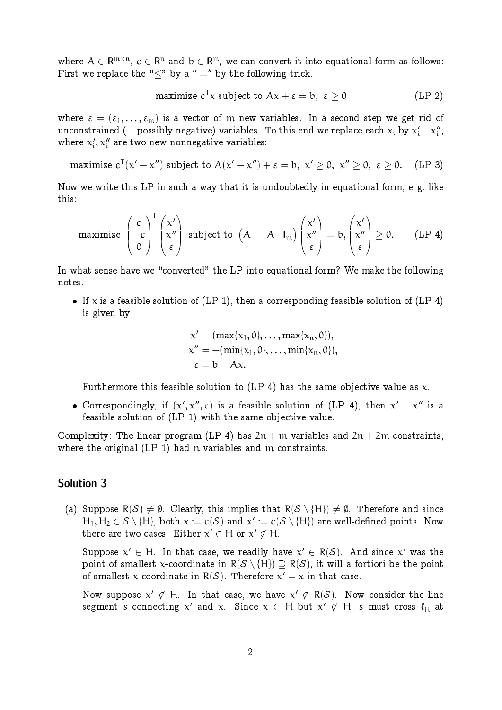where  $\mathcal{A}\in \mathsf{R}^{\mathfrak{m}\times \mathfrak{n}},\, \mathfrak{c}\in \mathsf{R}^{\mathfrak{n}}$  and  $\mathfrak{b}\in \mathsf{R}^{\mathfrak{m}},$  we can convert it into equational form as follows: First we replace the " $\lt"$  by a " =" by the following trick.

$$
\text{maximize } \text{c}^{\mathsf{T}}\text{x } \text{ subject to } \text{Ax} + \varepsilon = \text{b}, \,\, \varepsilon \geq 0 \qquad \qquad \text{(LP 2)}
$$

where  $\varepsilon = (\varepsilon_1, \ldots, \varepsilon_m)$  is a vector of m new variables. In a second step we get rid of unconstrained (= possibly negative) variables. To this end we replace each  $\mathsf{x_{i}}$  by  $\mathsf{x_{i}^{\prime}}\!-\!\mathsf{x_{i}^{\prime\prime}}$ יי<br>, י where  $x_i'$  $\mathbf{x}_i^{\prime}, \mathbf{x}_i^{\prime\prime}$  are two new nonnegative variables:

maximize  $c^{\mathsf{T}}(x'-x'')$  subject to  $\mathsf{A}(x'-x'')+\varepsilon=\mathsf{b},\;x'\geq\mathsf{0},\;x''\geq\mathsf{0},\;\;\varepsilon\geq\mathsf{0}.$   $\pmod{\mathsf{LP}(3)}$ 

Now we write this LP in such a way that it is undoubtedly in equational form, e. g. like this:

$$
\text{maximize } \begin{pmatrix} c \\ -c \\ 0 \end{pmatrix}^T \begin{pmatrix} x' \\ x'' \\ \epsilon \end{pmatrix} \text{ subject to } \begin{pmatrix} A & -A & I_m \end{pmatrix} \begin{pmatrix} x' \\ x'' \\ \epsilon \end{pmatrix} = b, \begin{pmatrix} x' \\ x'' \\ \epsilon \end{pmatrix} \geq 0. \qquad \text{(LP 4)}
$$

In what sense have we "converted" the LP into equational form? We make the following notes.

If x is a feasible solution of (LP 1), then a corresponding feasible solution of (LP 4) is given by

$$
x' = (\max\{x_1, 0\}, \ldots, \max\{x_n, 0\}),
$$
  
\n
$$
x'' = -(\min\{x_1, 0\}, \ldots, \min\{x_n, 0\}),
$$
  
\n
$$
\epsilon = b - Ax.
$$

Furthermore this feasible solution to (LP 4) has the same objective value as  $x$ .

• Correspondingly, if  $(x', x'', \varepsilon)$  is a feasible solution of (LP 4), then  $x' - x''$  is a feasible solution of (LP 1) with the same objective value.

Complexity: The linear program (LP 4) has  $2n + m$  variables and  $2n + 2m$  constraints, where the original (LP 1) had n variables and m constraints.

## Solution 3

(a) Suppose  $R(S) \neq \emptyset$ . Clearly, this implies that  $R(S \setminus \{H\}) \neq \emptyset$ . Therefore and since  $H_1, H_2 \in \mathcal{S} \setminus \{H\}$ , both  $x := c(\mathcal{S})$  and  $x' := c(\mathcal{S} \setminus \{H\})$  are well-defined points. Now there are two cases. Either  $x' \in H$  or  $x' \not\in H$ .

Suppose  $x' \in H$ . In that case, we readily have  $x' \in R(S)$ . And since  $x'$  was the point of smallest x-coordinate in  $R(S \setminus \{H\}) \supset R(S)$ , it will a fortiori be the point of smallest x-coordinate in  $R(S)$ . Therefore  $x' = x$  in that case.

Now suppose  $x' \notin H$ . In that case, we have  $x' \notin R(S)$ . Now consider the line segment s connecting  $x'$  and  $x$ . Since  $x \in H$  but  $x' \not\in H$ , s must cross  $\ell_H$  at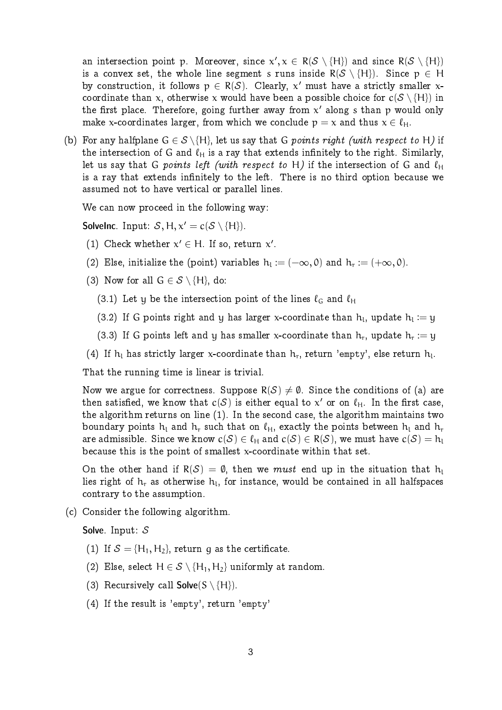an intersection point p. Moreover, since  $x', x \in R(\mathcal{S} \setminus \{H\})$  and since  $R(\mathcal{S} \setminus \{H\})$ is a convex set, the whole line segment s runs inside  $R(S \setminus \{H\})$ . Since  $p \in H$ by construction, it follows  $p \in R(S)$ . Clearly, x' must have a strictly smaller xcoordinate than x, otherwise x would have been a possible choice for  $c(S \setminus \{H\})$  in the first place. Therefore, going further away from  $\mathbf{x}'$  along  $\mathbf s$  than  $\mathbf p$  would only make x-coordinates larger, from which we conclude  $p = x$  and thus  $x \in \ell_H$ .

(b) For any halfplane  $G \in \mathcal{S} \backslash \{H\}$ , let us say that G points right (with respect to H) if the intersection of G and  $\ell_H$  is a ray that extends infinitely to the right. Similarly, let us say that G points left (with respect to H) if the intersection of G and  $\ell_H$ is a ray that extends infinitely to the left. There is no third option because we assumed not to have vertical or parallel lines.

We can now proceed in the following way:

**SolveInc.** Input:  $S, H, x' = c(S \setminus \{H\}).$ 

(1) Check whether  $x' \in H$ . If so, return  $x'$ .

(2) Else, initialize the (point) variables  $h_l := (-\infty, 0)$  and  $h_r := (+\infty, 0)$ .

- (3) Now for all  $G \in \mathcal{S} \setminus \{H\}$ , do:
	- (3.1) Let y be the intersection point of the lines  $\ell_G$  and  $\ell_H$
	- (3.2) If G points right and y has larger x-coordinate than  $h_l$ , update  $h_l := y$
	- (3.3) If G points left and y has smaller x-coordinate than  $h_r$ , update  $h_r := y$
- (4) If  $h_l$  has strictly larger x-coordinate than  $h_r$ , return 'empty', else return  $h_l$ .

That the running time is linear is trivial.

Now we argue for correctness. Suppose  $R(S) \neq \emptyset$ . Since the conditions of (a) are then satisfied, we know that  $c(S)$  is either equal to  $x'$  or on  $\ell_{\mathsf{H}}.$  In the first case, the algorithm returns on line (1). In the second case, the algorithm maintains two boundary points  $h_1$  and  $h_r$  such that on  $\ell_H$ , exactly the points between  $h_1$  and  $h_r$ are admissible. Since we know  $c(\mathcal{S}) \in \ell_H$  and  $c(\mathcal{S}) \in R(\mathcal{S}),$  we must have  $c(\mathcal{S}) = \mathsf{h}_\mathsf{L}$ because this is the point of smallest x-coordinate within that set.

On the other hand if  $R(S) = \emptyset$ , then we *must* end up in the situation that  $h_1$ lies right of  $\bm{{\mathsf{h}}}_\text{r}$  as otherwise  $\bm{{\mathsf{h}}}_\text{l}$ , for instance, would be contained in all halfspaces contrary to the assumption.

(c) Consider the following algorithm.

Solve. Input: S

- (1) If  $S = \{H_1, H_2\}$ , return q as the certificate.
- (2) Else, select  $H \in \mathcal{S} \setminus \{H_1, H_2\}$  uniformly at random.
- (3) Recursively call **Solve**( $S \setminus \{H\}$ ).
- (4) If the result is 'empty', return 'empty'